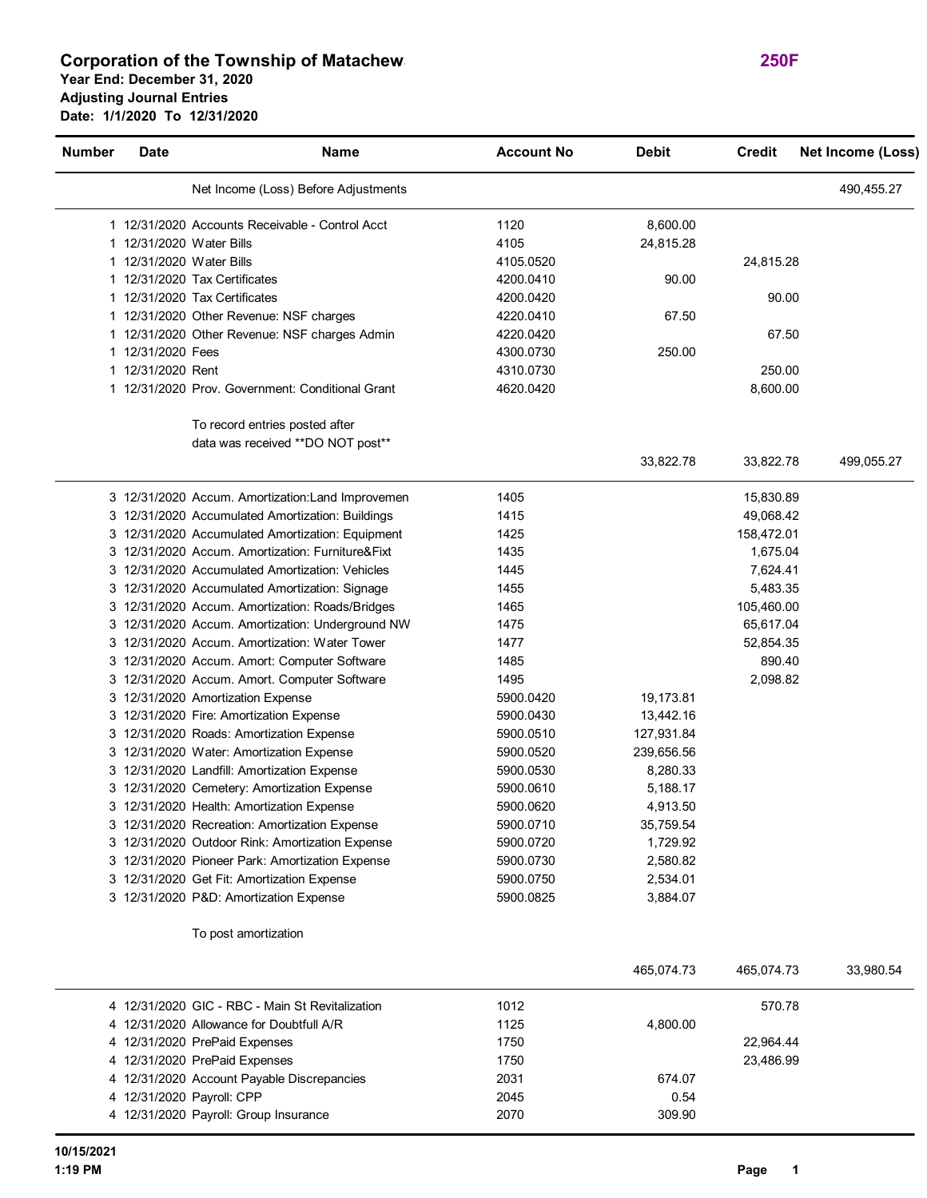## **Corporation of the Township of Matachewan 250F Year End: December 31, 2020 Adjusting Journal Entries Date: 1/1/2020 To 12/31/2020**

| <b>Number</b> | Date                     | <b>Name</b>                                                          | <b>Account No</b> | <b>Debit</b> | <b>Credit</b> | <b>Net Income (Loss)</b> |
|---------------|--------------------------|----------------------------------------------------------------------|-------------------|--------------|---------------|--------------------------|
|               |                          | Net Income (Loss) Before Adjustments                                 |                   |              |               | 490,455.27               |
|               |                          | 1 12/31/2020 Accounts Receivable - Control Acct                      | 1120              | 8,600.00     |               |                          |
|               | 1 12/31/2020 Water Bills |                                                                      | 4105              | 24,815.28    |               |                          |
|               | 1 12/31/2020 Water Bills |                                                                      | 4105.0520         |              | 24,815.28     |                          |
|               |                          | 1 12/31/2020 Tax Certificates                                        | 4200.0410         | 90.00        |               |                          |
|               |                          | 1 12/31/2020 Tax Certificates                                        | 4200.0420         |              | 90.00         |                          |
|               |                          | 1 12/31/2020 Other Revenue: NSF charges                              | 4220.0410         | 67.50        |               |                          |
|               |                          | 1 12/31/2020 Other Revenue: NSF charges Admin                        | 4220.0420         |              | 67.50         |                          |
|               | 1 12/31/2020 Fees        |                                                                      | 4300.0730         | 250.00       |               |                          |
|               | 1 12/31/2020 Rent        |                                                                      | 4310.0730         |              | 250.00        |                          |
|               |                          | 1 12/31/2020 Prov. Government: Conditional Grant                     | 4620.0420         |              | 8,600.00      |                          |
|               |                          | To record entries posted after<br>data was received ** DO NOT post** |                   |              |               |                          |
|               |                          |                                                                      |                   | 33,822.78    | 33,822.78     | 499,055.27               |
|               |                          | 3 12/31/2020 Accum. Amortization: Land Improvemen                    | 1405              |              | 15,830.89     |                          |
|               |                          | 3 12/31/2020 Accumulated Amortization: Buildings                     | 1415              |              | 49,068.42     |                          |
|               |                          | 3 12/31/2020 Accumulated Amortization: Equipment                     | 1425              |              | 158,472.01    |                          |
|               |                          | 3 12/31/2020 Accum. Amortization: Furniture&Fixt                     | 1435              |              | 1,675.04      |                          |
|               |                          | 3 12/31/2020 Accumulated Amortization: Vehicles                      | 1445              |              | 7,624.41      |                          |
|               |                          | 3 12/31/2020 Accumulated Amortization: Signage                       | 1455              |              | 5,483.35      |                          |
|               |                          | 3 12/31/2020 Accum. Amortization: Roads/Bridges                      | 1465              |              | 105,460.00    |                          |
|               |                          | 3 12/31/2020 Accum. Amortization: Underground NW                     | 1475              |              | 65,617.04     |                          |
|               |                          | 3 12/31/2020 Accum. Amortization: Water Tower                        | 1477              |              | 52,854.35     |                          |
|               |                          | 3 12/31/2020 Accum. Amort: Computer Software                         | 1485              |              | 890.40        |                          |
|               |                          | 3 12/31/2020 Accum. Amort. Computer Software                         | 1495              |              | 2,098.82      |                          |
|               |                          | 3 12/31/2020 Amortization Expense                                    | 5900.0420         | 19,173.81    |               |                          |
|               |                          | 3 12/31/2020 Fire: Amortization Expense                              | 5900.0430         | 13,442.16    |               |                          |
|               |                          | 3 12/31/2020 Roads: Amortization Expense                             | 5900.0510         | 127,931.84   |               |                          |
|               |                          | 3 12/31/2020 Water: Amortization Expense                             | 5900.0520         | 239,656.56   |               |                          |
|               |                          | 3 12/31/2020 Landfill: Amortization Expense                          | 5900.0530         | 8,280.33     |               |                          |
|               |                          | 3 12/31/2020 Cemetery: Amortization Expense                          | 5900.0610         | 5,188.17     |               |                          |
|               |                          | 3 12/31/2020 Health: Amortization Expense                            | 5900.0620         | 4,913.50     |               |                          |
|               |                          | 3 12/31/2020 Recreation: Amortization Expense                        | 5900.0710         | 35,759.54    |               |                          |
|               |                          | 3 12/31/2020 Outdoor Rink: Amortization Expense                      | 5900.0720         | 1,729.92     |               |                          |
|               |                          | 3 12/31/2020 Pioneer Park: Amortization Expense                      | 5900.0730         | 2,580.82     |               |                          |
|               |                          | 3 12/31/2020 Get Fit: Amortization Expense                           | 5900.0750         | 2,534.01     |               |                          |
|               |                          | 3 12/31/2020 P&D: Amortization Expense                               | 5900.0825         | 3,884.07     |               |                          |
|               |                          | To post amortization                                                 |                   |              |               |                          |
|               |                          |                                                                      |                   | 465,074.73   | 465,074.73    | 33,980.54                |

| 4 12/31/2020 GIC - RBC - Main St Revitalization | 1012 | 570.78    |  |
|-------------------------------------------------|------|-----------|--|
| 4 12/31/2020 Allowance for Doubtfull A/R        | 1125 | 4.800.00  |  |
| 4 12/31/2020 PrePaid Expenses                   | 1750 | 22.964.44 |  |
| 4 12/31/2020 PrePaid Expenses                   | 1750 | 23.486.99 |  |
| 4 12/31/2020 Account Payable Discrepancies      | 2031 | 674.07    |  |
| 4 12/31/2020 Payroll: CPP                       | 2045 | 0.54      |  |
| 4 12/31/2020 Payroll: Group Insurance           | 2070 | 309.90    |  |
|                                                 |      |           |  |

L.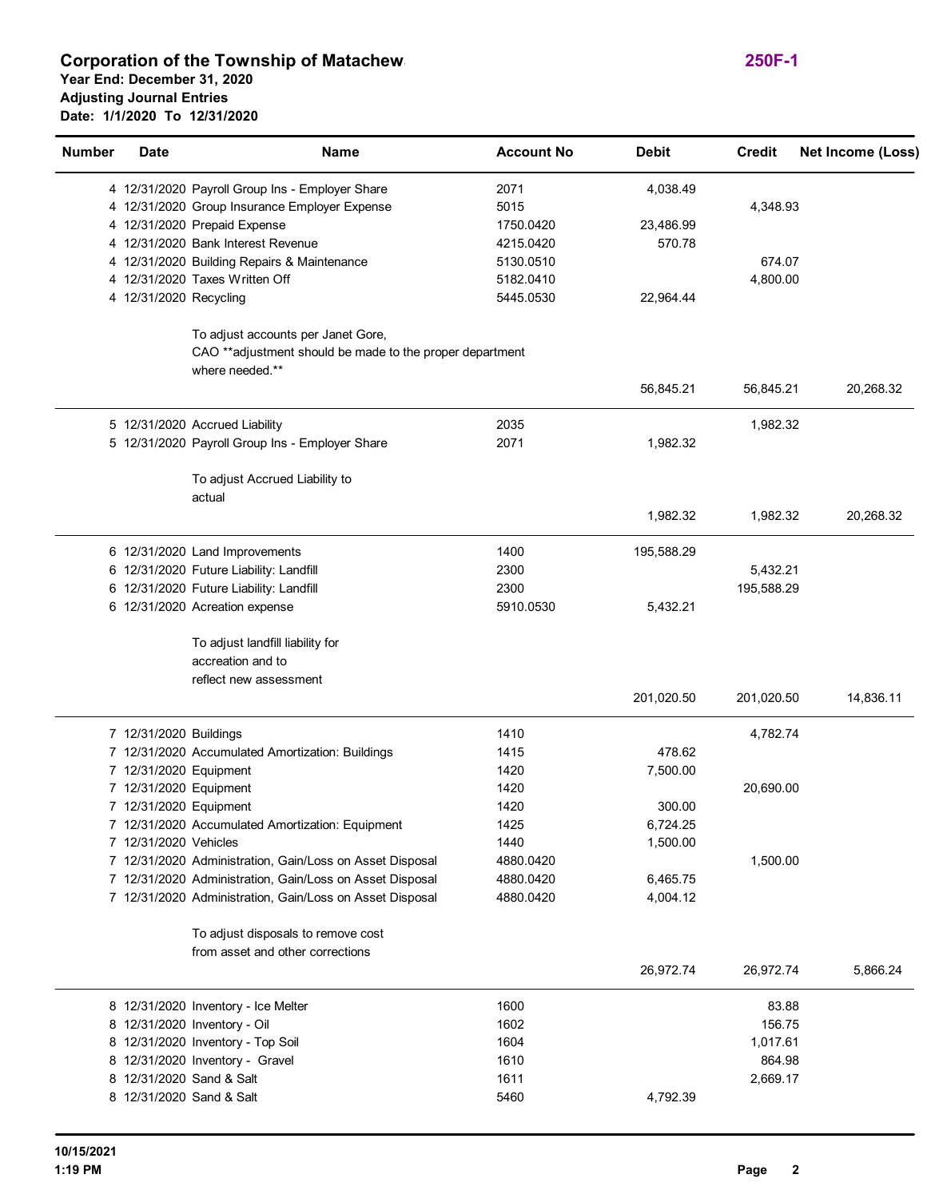## **Corporation of the Township of Matachew 250F-1 Year End: December 31, 2020 Adjusting Journal Entries Date: 1/1/2020 To 12/31/2020**

| <b>Number</b> | <b>Date</b>            | <b>Name</b>                                                                                                          | <b>Account No</b>      | <b>Debit</b>         | <b>Credit</b> | Net Income (Loss) |
|---------------|------------------------|----------------------------------------------------------------------------------------------------------------------|------------------------|----------------------|---------------|-------------------|
|               |                        | 4 12/31/2020 Payroll Group Ins - Employer Share                                                                      | 2071                   | 4,038.49             |               |                   |
|               |                        | 4 12/31/2020 Group Insurance Employer Expense                                                                        | 5015                   |                      | 4,348.93      |                   |
|               |                        | 4 12/31/2020 Prepaid Expense                                                                                         | 1750.0420              | 23,486.99            |               |                   |
|               |                        | 4 12/31/2020 Bank Interest Revenue                                                                                   | 4215.0420              | 570.78               |               |                   |
|               |                        | 4 12/31/2020 Building Repairs & Maintenance                                                                          | 5130.0510              |                      | 674.07        |                   |
|               |                        | 4 12/31/2020 Taxes Written Off                                                                                       | 5182.0410              |                      | 4,800.00      |                   |
|               | 4 12/31/2020 Recycling |                                                                                                                      | 5445.0530              | 22,964.44            |               |                   |
|               |                        | To adjust accounts per Janet Gore,<br>CAO ** adjustment should be made to the proper department<br>where needed.**   |                        |                      |               |                   |
|               |                        |                                                                                                                      |                        | 56,845.21            | 56,845.21     | 20,268.32         |
|               |                        | 5 12/31/2020 Accrued Liability                                                                                       | 2035                   |                      | 1,982.32      |                   |
|               |                        | 5 12/31/2020 Payroll Group Ins - Employer Share                                                                      | 2071                   | 1,982.32             |               |                   |
|               |                        | To adjust Accrued Liability to<br>actual                                                                             |                        |                      |               |                   |
|               |                        |                                                                                                                      |                        | 1,982.32             | 1,982.32      | 20,268.32         |
|               |                        | 6 12/31/2020 Land Improvements                                                                                       | 1400                   | 195,588.29           |               |                   |
|               |                        | 6 12/31/2020 Future Liability: Landfill                                                                              | 2300                   |                      | 5,432.21      |                   |
|               |                        | 6 12/31/2020 Future Liability: Landfill                                                                              | 2300                   |                      | 195,588.29    |                   |
|               |                        | 6 12/31/2020 Acreation expense                                                                                       | 5910.0530              | 5,432.21             |               |                   |
|               |                        | To adjust landfill liability for<br>accreation and to                                                                |                        |                      |               |                   |
|               |                        | reflect new assessment                                                                                               |                        | 201,020.50           | 201,020.50    | 14,836.11         |
|               | 7 12/31/2020 Buildings |                                                                                                                      | 1410                   |                      | 4,782.74      |                   |
|               |                        | 7 12/31/2020 Accumulated Amortization: Buildings                                                                     | 1415                   | 478.62               |               |                   |
|               | 7 12/31/2020 Equipment |                                                                                                                      | 1420                   | 7,500.00             |               |                   |
|               | 7 12/31/2020 Equipment |                                                                                                                      | 1420                   |                      | 20,690.00     |                   |
|               | 7 12/31/2020 Equipment |                                                                                                                      | 1420                   | 300.00               |               |                   |
|               |                        | 7 12/31/2020 Accumulated Amortization: Equipment                                                                     | 1425                   | 6,724.25             |               |                   |
|               | 7 12/31/2020 Vehicles  |                                                                                                                      | 1440                   | 1,500.00             |               |                   |
|               |                        | 7 12/31/2020 Administration, Gain/Loss on Asset Disposal                                                             | 4880.0420              |                      | 1,500.00      |                   |
|               |                        | 7 12/31/2020 Administration, Gain/Loss on Asset Disposal<br>7 12/31/2020 Administration, Gain/Loss on Asset Disposal | 4880.0420<br>4880.0420 | 6,465.75<br>4,004.12 |               |                   |
|               |                        | To adjust disposals to remove cost                                                                                   |                        |                      |               |                   |
|               |                        | from asset and other corrections                                                                                     |                        |                      |               |                   |
|               |                        |                                                                                                                      |                        | 26,972.74            | 26,972.74     | 5,866.24          |
|               |                        | 8 12/31/2020 Inventory - Ice Melter                                                                                  | 1600                   |                      | 83.88         |                   |
|               |                        | 8 12/31/2020 Inventory - Oil                                                                                         | 1602                   |                      | 156.75        |                   |
|               |                        | 8 12/31/2020 Inventory - Top Soil                                                                                    | 1604                   |                      | 1,017.61      |                   |
|               |                        | 8 12/31/2020 Inventory - Gravel                                                                                      | 1610                   |                      | 864.98        |                   |
|               |                        | 8 12/31/2020 Sand & Salt                                                                                             | 1611                   |                      | 2,669.17      |                   |
|               |                        | 8 12/31/2020 Sand & Salt                                                                                             | 5460                   | 4,792.39             |               |                   |